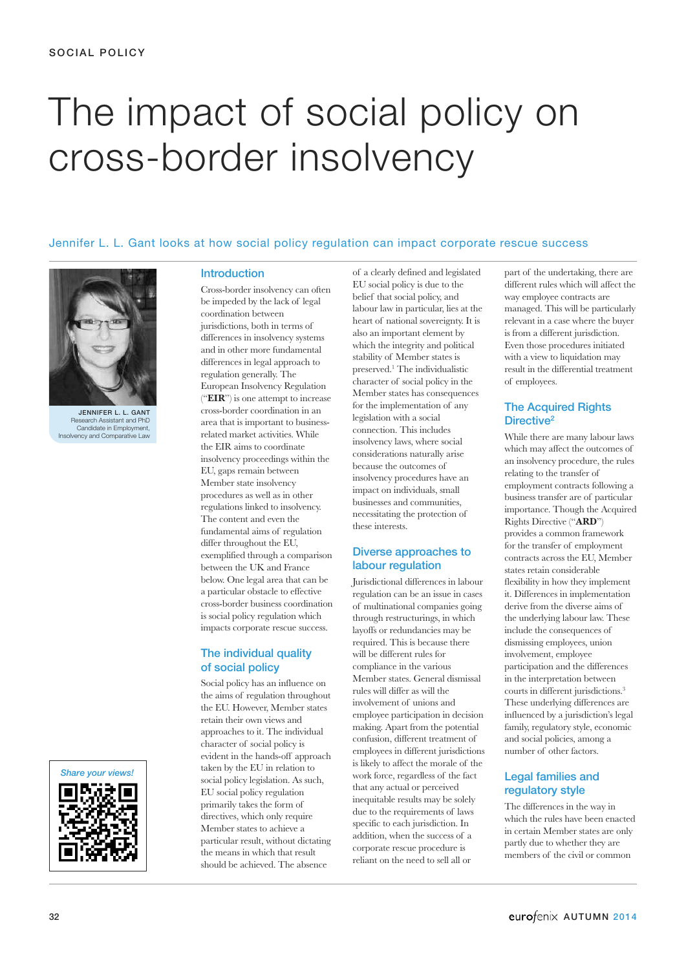# The impact of social policy on cross-border insolvency

## Jennifer L. L. Gant looks at how social policy regulation can impact corporate rescue success



JENNIFER L. L. GANT earch Assistant and PhD Candidate in Employment, Insolvency and Comparative Law



## Introduction

Cross-border insolvency can often be impeded by the lack of legal coordination between jurisdictions, both in terms of differences in insolvency systems and in other more fundamental differences in legal approach to regulation generally. The European Insolvency Regulation ("**EIR**") is one attempt to increase cross-border coordination in an area that is important to businessrelated market activities. While the EIR aims to coordinate insolvency proceedings within the EU, gaps remain between Member state insolvency procedures as well as in other regulations linked to insolvency. The content and even the fundamental aims of regulation differ throughout the EU, exemplified through a comparison between the UK and France below. One legal area that can be a particular obstacle to effective cross-border business coordination is social policy regulation which impacts corporate rescue success.

#### The individual quality of social policy

Social policy has an influence on the aims of regulation throughout the EU. However, Member states retain their own views and approaches to it. The individual character of social policy is evident in the hands-off approach taken by the EU in relation to social policy legislation. As such, EU social policy regulation primarily takes the form of directives, which only require Member states to achieve a particular result, without dictating the means in which that result should be achieved. The absence

of a clearly defined and legislated EU social policy is due to the belief that social policy, and labour law in particular, lies at the heart of national sovereignty. It is also an important element by which the integrity and political stability of Member states is preserved. <sup>1</sup> The individualistic character of social policy in the Member states has consequences for the implementation of any legislation with a social connection. This includes insolvency laws, where social considerations naturally arise because the outcomes of insolvency procedures have an impact on individuals, small businesses and communities, necessitating the protection of these interests.

## Diverse approaches to labour regulation

Jurisdictional differences in labour regulation can be an issue in cases of multinational companies going through restructurings, in which layoffs or redundancies may be required. This is because there will be different rules for compliance in the various Member states. General dismissal rules will differ as will the involvement of unions and employee participation in decision making. Apart from the potential confusion, different treatment of employees in different jurisdictions is likely to affect the morale of the work force, regardless of the fact that any actual or perceived inequitable results may be solely due to the requirements of laws specific to each jurisdiction. In addition, when the success of a corporate rescue procedure is reliant on the need to sell all or

part of the undertaking, there are different rules which will affect the way employee contracts are managed. This will be particularly relevant in a case where the buyer is from a different jurisdiction. Even those procedures initiated with a view to liquidation may result in the differential treatment of employees.

## The Acquired Rights Directive<sup>2</sup>

While there are many labour laws which may affect the outcomes of an insolvency procedure, the rules relating to the transfer of employment contracts following a business transfer are of particular importance. Though the Acquired Rights Directive ("**ARD**") provides a common framework for the transfer of employment contracts across the EU, Member states retain considerable flexibility in how they implement it. Differences in implementation derive from the diverse aims of the underlying labour law. These include the consequences of dismissing employees, union involvement, employee participation and the differences in the interpretation between courts in different jurisdictions. 3 These underlying differences are influenced by a jurisdiction's legal family, regulatory style, economic and social policies, among a number of other factors.

## Legal families and regulatory style

The differences in the way in which the rules have been enacted in certain Member states are only partly due to whether they are members of the civil or common